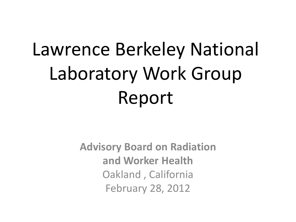# Lawrence Berkeley National Laboratory Work Group Report

**Advisory Board on Radiation and Worker Health** Oakland , California February 28, 2012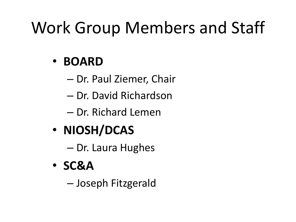## Work Group Members and Staff

#### • **BOARD**

- Dr. Paul Ziemer, Chair
- Dr. David Richardson
- Dr. Richard Lemen
- **NIOSH/DCAS**
	- Dr. Laura Hughes
- **SC&A**
	- Joseph Fitzgerald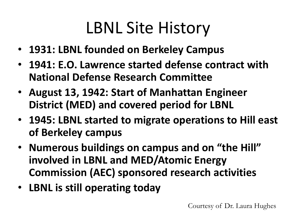#### LBNL Site History

- **1931: LBNL founded on Berkeley Campus**
- **1941: E.O. Lawrence started defense contract with National Defense Research Committee**
- **August 13, 1942: Start of Manhattan Engineer District (MED) and covered period for LBNL**
- **1945: LBNL started to migrate operations to Hill east of Berkeley campus**
- **Numerous buildings on campus and on "the Hill" involved in LBNL and MED/Atomic Energy Commission (AEC) sponsored research activities**
- **LBNL is still operating today**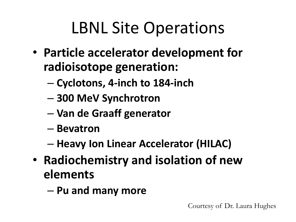### LBNL Site Operations

- **Particle accelerator development for radioisotope generation:** 
	- **Cyclotons, 4-inch to 184-inch**
	- **300 MeV Synchrotron**
	- **Van de Graaff generator**
	- **Bevatron**
	- **Heavy Ion Linear Accelerator (HILAC)**
- **Radiochemistry and isolation of new elements**
	- **Pu and many more**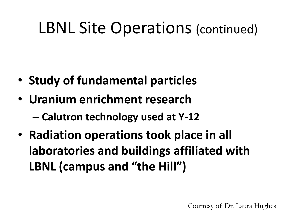#### LBNL Site Operations (continued)

- **Study of fundamental particles**
- **Uranium enrichment research**
	- **Calutron technology used at Y-12**
- **Radiation operations took place in all laboratories and buildings affiliated with LBNL (campus and "the Hill")**

Courtesy of Dr. Laura Hughes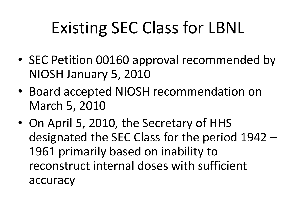# Existing SEC Class for LBNL

- SEC Petition 00160 approval recommended by NIOSH January 5, 2010
- Board accepted NIOSH recommendation on March 5, 2010
- On April 5, 2010, the Secretary of HHS designated the SEC Class for the period 1942 – 1961 primarily based on inability to reconstruct internal doses with sufficient accuracy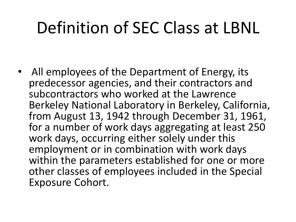#### Definition of SEC Class at LBNL

• All employees of the Department of Energy, its predecessor agencies, and their contractors and subcontractors who worked at the Lawrence Berkeley National Laboratory in Berkeley, California, from August 13, 1942 through December 31, 1961, for a number of work days aggregating at least 250 work days, occurring either solely under this employment or in combination with work days within the parameters established for one or more other classes of employees included in the Special Exposure Cohort.